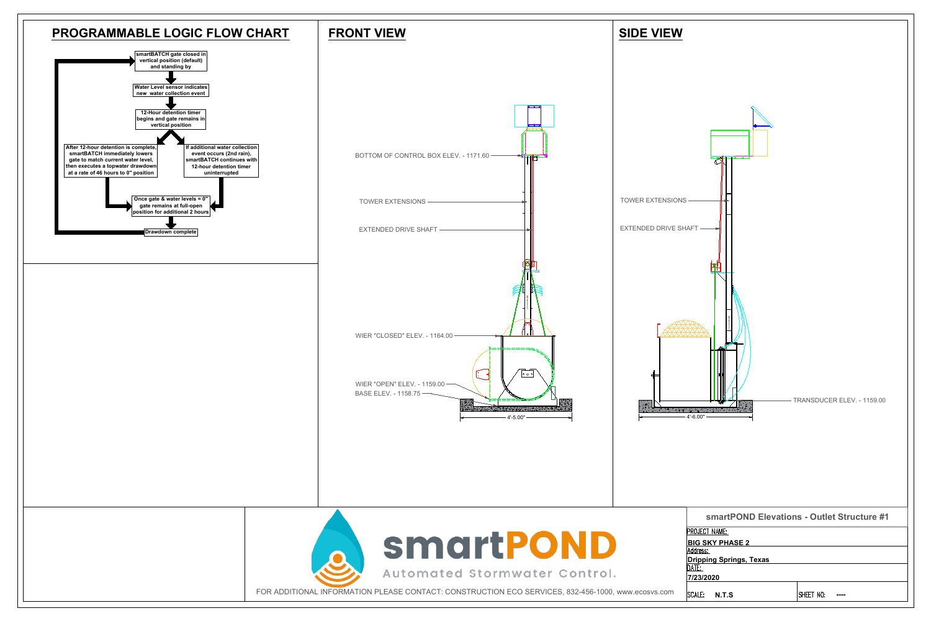



| smartPOND Elevations - Outlet Structure #1 |           |
|--------------------------------------------|-----------|
| PROJECT NAME:                              |           |
| <b>BIG SKY PHASE 2</b>                     |           |
| Address:                                   |           |
| <b>Dripping Springs, Texas</b>             |           |
|                                            |           |
|                                            |           |
| SCALE:<br><b>N.T.S</b>                     | SHEE      |
|                                            | 7/23/2020 |